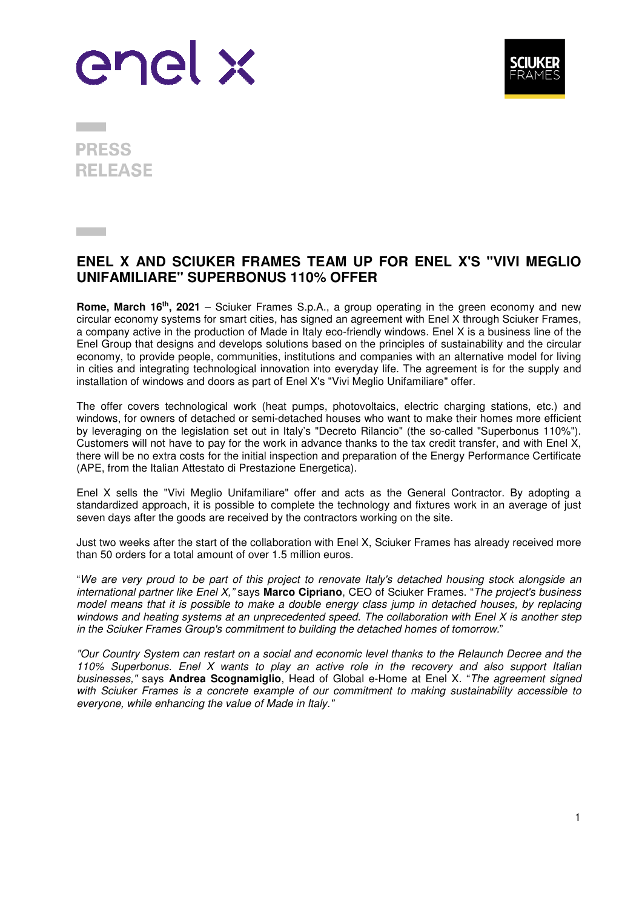



**PRESS RELEASE** 

**Contract** 

# **ENEL X AND SCIUKER FRAMES TEAM UP FOR ENEL X'S "VIVI MEGLIO UNIFAMILIARE" SUPERBONUS 110% OFFER**

**Rome, March 16th, 2021** – Sciuker Frames S.p.A., a group operating in the green economy and new circular economy systems for smart cities, has signed an agreement with Enel X through Sciuker Frames, a company active in the production of Made in Italy eco-friendly windows. Enel X is a business line of the Enel Group that designs and develops solutions based on the principles of sustainability and the circular economy, to provide people, communities, institutions and companies with an alternative model for living in cities and integrating technological innovation into everyday life. The agreement is for the supply and installation of windows and doors as part of Enel X's "Vivi Meglio Unifamiliare" offer.

The offer covers technological work (heat pumps, photovoltaics, electric charging stations, etc.) and windows, for owners of detached or semi-detached houses who want to make their homes more efficient by leveraging on the legislation set out in Italy's "Decreto Rilancio" (the so-called "Superbonus 110%"). Customers will not have to pay for the work in advance thanks to the tax credit transfer, and with Enel X, there will be no extra costs for the initial inspection and preparation of the Energy Performance Certificate (APE, from the Italian Attestato di Prestazione Energetica).

Enel X sells the "Vivi Meglio Unifamiliare" offer and acts as the General Contractor. By adopting a standardized approach, it is possible to complete the technology and fixtures work in an average of just seven days after the goods are received by the contractors working on the site.

Just two weeks after the start of the collaboration with Enel X, Sciuker Frames has already received more than 50 orders for a total amount of over 1.5 million euros.

"We are very proud to be part of this project to renovate Italy's detached housing stock alongside an international partner like Enel X," says **Marco Cipriano**, CEO of Sciuker Frames. "The project's business model means that it is possible to make a double energy class jump in detached houses, by replacing windows and heating systems at an unprecedented speed. The collaboration with Enel X is another step in the Sciuker Frames Group's commitment to building the detached homes of tomorrow."

"Our Country System can restart on a social and economic level thanks to the Relaunch Decree and the 110% Superbonus. Enel X wants to play an active role in the recovery and also support Italian businesses," says **Andrea Scognamiglio**, Head of Global e-Home at Enel X. "The agreement signed with Sciuker Frames is a concrete example of our commitment to making sustainability accessible to everyone, while enhancing the value of Made in Italy."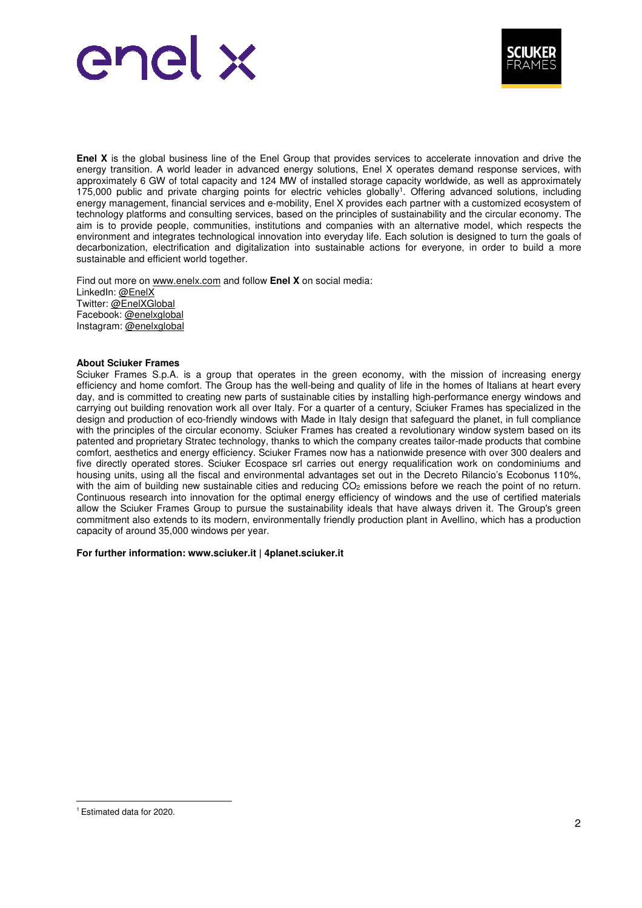



**Enel X** is the global business line of the Enel Group that provides services to accelerate innovation and drive the energy transition. A world leader in advanced energy solutions, Enel X operates demand response services, with approximately 6 GW of total capacity and 124 MW of installed storage capacity worldwide, as well as approximately 175,000 public and private charging points for electric vehicles globally<sup>1</sup>. Offering advanced solutions, including energy management, financial services and e-mobility, Enel X provides each partner with a customized ecosystem of technology platforms and consulting services, based on the principles of sustainability and the circular economy. The aim is to provide people, communities, institutions and companies with an alternative model, which respects the environment and integrates technological innovation into everyday life. Each solution is designed to turn the goals of decarbonization, electrification and digitalization into sustainable actions for everyone, in order to build a more sustainable and efficient world together.

Find out more on www.enelx.com and follow **Enel X** on social media: LinkedIn: @EnelX Twitter: @EnelXGlobal Facebook: @enelxglobal Instagram: @enelxglobal

#### **About Sciuker Frames**

Sciuker Frames S.p.A. is a group that operates in the green economy, with the mission of increasing energy efficiency and home comfort. The Group has the well-being and quality of life in the homes of Italians at heart every day, and is committed to creating new parts of sustainable cities by installing high-performance energy windows and carrying out building renovation work all over Italy. For a quarter of a century, Sciuker Frames has specialized in the design and production of eco-friendly windows with Made in Italy design that safeguard the planet, in full compliance with the principles of the circular economy. Sciuker Frames has created a revolutionary window system based on its patented and proprietary Stratec technology, thanks to which the company creates tailor-made products that combine comfort, aesthetics and energy efficiency. Sciuker Frames now has a nationwide presence with over 300 dealers and five directly operated stores. Sciuker Ecospace srl carries out energy requalification work on condominiums and housing units, using all the fiscal and environmental advantages set out in the Decreto Rilancio's Ecobonus 110%, with the aim of building new sustainable cities and reducing CO<sub>2</sub> emissions before we reach the point of no return. Continuous research into innovation for the optimal energy efficiency of windows and the use of certified materials allow the Sciuker Frames Group to pursue the sustainability ideals that have always driven it. The Group's green commitment also extends to its modern, environmentally friendly production plant in Avellino, which has a production capacity of around 35,000 windows per year.

#### **For further information: www.sciuker.it | 4planet.sciuker.it**

l

<sup>1</sup> Estimated data for 2020.